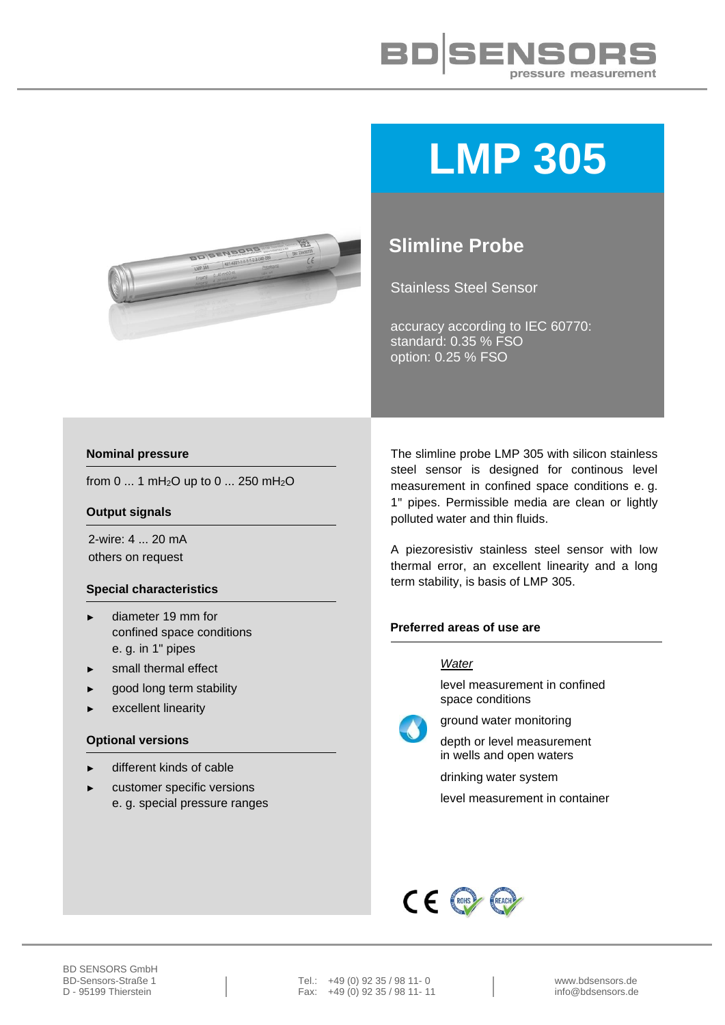



# **LMP 305**

# **Slimline Probe**

Stainless Steel Sensor

accuracy according to IEC 60770: standard: 0.35 % FSO option: 0.25 % FSO

### **Nominal pressure**

from 0 ... 1 mH<sub>2</sub>O up to 0 ... 250 mH<sub>2</sub>O

#### **Output signals**

2-wire: 4 ... 20 mA others on request

#### **Special characteristics**

- ► diameter 19 mm for confined space conditions e. g. in 1" pipes
- small thermal effect
- good long term stability
- excellent linearity

#### **Optional versions**

- different kinds of cable
- ► customer specific versions e. g. special pressure ranges

The slimline probe LMP 305 with silicon stainless steel sensor is designed for continous level measurement in confined space conditions e. g. 1" pipes. Permissible media are clean or lightly polluted water and thin fluids.

A piezoresistiv stainless steel sensor with low thermal error, an excellent linearity and a long term stability, is basis of LMP 305.

# **Preferred areas of use are**

# *Water*

level measurement in confined space conditions

ground water monitoring



depth or level measurement in wells and open waters

drinking water system

level measurement in container

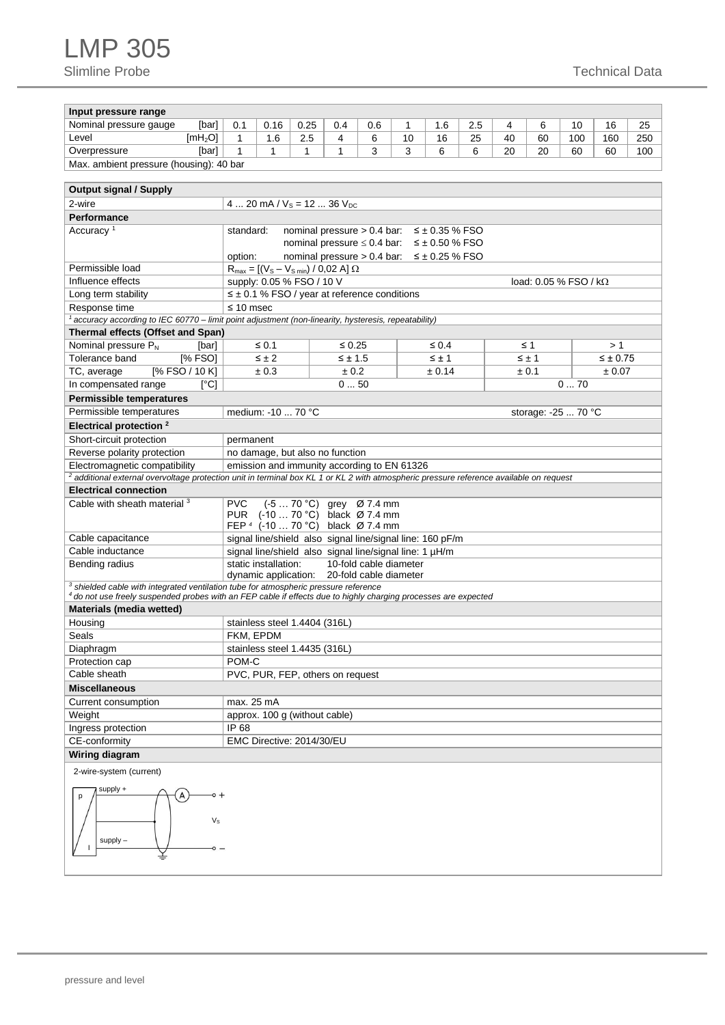L,

| Input pressure range                    |                     |      |      |      |     |     |    |        |     |    |    |     |     |     |
|-----------------------------------------|---------------------|------|------|------|-----|-----|----|--------|-----|----|----|-----|-----|-----|
| Nominal pressure gauge                  | [bar]               | U. 1 | 0.16 | 0.25 | 0.4 | 0.6 |    | . .6   | 2.5 |    |    | 10  | 16  | 25  |
| Level                                   | [mH <sub>2</sub> O] |      | . 6  | 2.5  | 4   |     | 10 | 16     | 25  | 40 | 60 | 100 | 160 | 250 |
| Overpressure                            | <b>Ibarl</b>        |      |      |      |     |     |    | $\sim$ |     | 20 | 20 | 60  | 60  | 100 |
| Max. ambient pressure (housing): 40 bar |                     |      |      |      |     |     |    |        |     |    |    |     |     |     |

| <b>Output signal / Supply</b>                                                                                                                                                                                |                                                                                               |                                                                                                   |                  |                                 |                 |  |  |  |
|--------------------------------------------------------------------------------------------------------------------------------------------------------------------------------------------------------------|-----------------------------------------------------------------------------------------------|---------------------------------------------------------------------------------------------------|------------------|---------------------------------|-----------------|--|--|--|
| 2-wire<br>4  20 mA / $V_s$ = 12  36 $V_{DC}$                                                                                                                                                                 |                                                                                               |                                                                                                   |                  |                                 |                 |  |  |  |
| <b>Performance</b>                                                                                                                                                                                           |                                                                                               |                                                                                                   |                  |                                 |                 |  |  |  |
| Accuracy <sup>1</sup>                                                                                                                                                                                        | standard:                                                                                     | nominal pressure $> 0.4$ bar:                                                                     | $≤$ ± 0.35 % FSO |                                 |                 |  |  |  |
|                                                                                                                                                                                                              |                                                                                               | nominal pressure $\leq 0.4$ bar:                                                                  | $≤$ ± 0.50 % FSO |                                 |                 |  |  |  |
|                                                                                                                                                                                                              | option:                                                                                       | nominal pressure $> 0.4$ bar:                                                                     | $≤$ ± 0.25 % FSO |                                 |                 |  |  |  |
| Permissible load                                                                                                                                                                                             | $R_{max} = [(V_s - V_{s min}) / 0.02 A] \Omega$                                               |                                                                                                   |                  |                                 |                 |  |  |  |
| Influence effects                                                                                                                                                                                            | supply: 0.05 % FSO / 10 V                                                                     |                                                                                                   |                  | load: $0.05\%$ FSO / k $\Omega$ |                 |  |  |  |
| Long term stability                                                                                                                                                                                          |                                                                                               | $\leq \pm 0.1$ % FSO / year at reference conditions                                               |                  |                                 |                 |  |  |  |
| Response time                                                                                                                                                                                                | $\leq 10$ msec                                                                                |                                                                                                   |                  |                                 |                 |  |  |  |
| accuracy according to IEC 60770 – limit point adjustment (non-linearity, hysteresis, repeatability)                                                                                                          |                                                                                               |                                                                                                   |                  |                                 |                 |  |  |  |
| Thermal effects (Offset and Span)                                                                                                                                                                            |                                                                                               |                                                                                                   |                  |                                 |                 |  |  |  |
| Nominal pressure $P_N$<br>[bar]                                                                                                                                                                              | $\leq 0.1$                                                                                    | $\leq 0.25$                                                                                       | $\leq 0.4$       | $\leq 1$                        | >1              |  |  |  |
| Tolerance band<br>[% FSO]                                                                                                                                                                                    | $\leq \pm 2$                                                                                  | $\leq \pm 1.5$                                                                                    | $\leq \pm 1$     | $\leq \pm 1$                    | $\leq \pm 0.75$ |  |  |  |
| TC, average<br>[% FSO / 10 K]                                                                                                                                                                                | ± 0.3                                                                                         | ± 0.2                                                                                             | ± 0.14           | ± 0.1                           | ± 0.07          |  |  |  |
| [°C]<br>In compensated range                                                                                                                                                                                 |                                                                                               | 050                                                                                               |                  | 070                             |                 |  |  |  |
| Permissible temperatures                                                                                                                                                                                     |                                                                                               |                                                                                                   |                  |                                 |                 |  |  |  |
| Permissible temperatures                                                                                                                                                                                     | medium: -10  70 °C                                                                            |                                                                                                   |                  | storage: -25  70 °C             |                 |  |  |  |
| Electrical protection <sup>2</sup>                                                                                                                                                                           |                                                                                               |                                                                                                   |                  |                                 |                 |  |  |  |
| Short-circuit protection                                                                                                                                                                                     | permanent                                                                                     |                                                                                                   |                  |                                 |                 |  |  |  |
| Reverse polarity protection                                                                                                                                                                                  | no damage, but also no function                                                               |                                                                                                   |                  |                                 |                 |  |  |  |
| Electromagnetic compatibility                                                                                                                                                                                |                                                                                               | emission and immunity according to EN 61326                                                       |                  |                                 |                 |  |  |  |
| <sup>2</sup> additional external overvoltage protection unit in terminal box KL 1 or KL 2 with atmospheric pressure reference available on request                                                           |                                                                                               |                                                                                                   |                  |                                 |                 |  |  |  |
| <b>Electrical connection</b>                                                                                                                                                                                 |                                                                                               |                                                                                                   |                  |                                 |                 |  |  |  |
| Cable with sheath material 3                                                                                                                                                                                 | PVC.                                                                                          | $(-570 °C)$ grey Ø 7.4 mm<br>PUR (-10  70 °C) black Ø 7.4 mm<br>FEP 4 (-10  70 °C) black Ø 7.4 mm |                  |                                 |                 |  |  |  |
| Cable capacitance                                                                                                                                                                                            |                                                                                               | signal line/shield also signal line/signal line: 160 pF/m                                         |                  |                                 |                 |  |  |  |
| Cable inductance                                                                                                                                                                                             |                                                                                               | signal line/shield also signal line/signal line: 1 µH/m                                           |                  |                                 |                 |  |  |  |
| Bending radius                                                                                                                                                                                               | static installation:<br>10-fold cable diameter<br>dynamic application: 20-fold cable diameter |                                                                                                   |                  |                                 |                 |  |  |  |
| $3$ shielded cable with integrated ventilation tube for atmospheric pressure reference<br>$^4$ do not use freely suspended probes with an FEP cable if effects due to highly charging processes are expected |                                                                                               |                                                                                                   |                  |                                 |                 |  |  |  |
| <b>Materials (media wetted)</b>                                                                                                                                                                              |                                                                                               |                                                                                                   |                  |                                 |                 |  |  |  |
| Housing                                                                                                                                                                                                      | stainless steel 1.4404 (316L)                                                                 |                                                                                                   |                  |                                 |                 |  |  |  |
| Seals                                                                                                                                                                                                        | FKM, EPDM                                                                                     |                                                                                                   |                  |                                 |                 |  |  |  |
| Diaphragm                                                                                                                                                                                                    | stainless steel 1.4435 (316L)                                                                 |                                                                                                   |                  |                                 |                 |  |  |  |
| Protection cap                                                                                                                                                                                               | POM-C                                                                                         |                                                                                                   |                  |                                 |                 |  |  |  |
| Cable sheath                                                                                                                                                                                                 | PVC, PUR, FEP, others on request                                                              |                                                                                                   |                  |                                 |                 |  |  |  |
| <b>Miscellaneous</b>                                                                                                                                                                                         |                                                                                               |                                                                                                   |                  |                                 |                 |  |  |  |
| Current consumption                                                                                                                                                                                          | max. 25 mA                                                                                    |                                                                                                   |                  |                                 |                 |  |  |  |
| Weight                                                                                                                                                                                                       | approx. 100 g (without cable)                                                                 |                                                                                                   |                  |                                 |                 |  |  |  |
| Ingress protection                                                                                                                                                                                           | IP 68                                                                                         |                                                                                                   |                  |                                 |                 |  |  |  |
| CE-conformity                                                                                                                                                                                                | EMC Directive: 2014/30/EU                                                                     |                                                                                                   |                  |                                 |                 |  |  |  |
| Wiring diagram                                                                                                                                                                                               |                                                                                               |                                                                                                   |                  |                                 |                 |  |  |  |
| 2-wire-system (current)<br>supply +<br>$\overline{A}$<br>p<br>Vs<br>$supply -$<br>$\Omega$ -                                                                                                                 |                                                                                               |                                                                                                   |                  |                                 |                 |  |  |  |

J.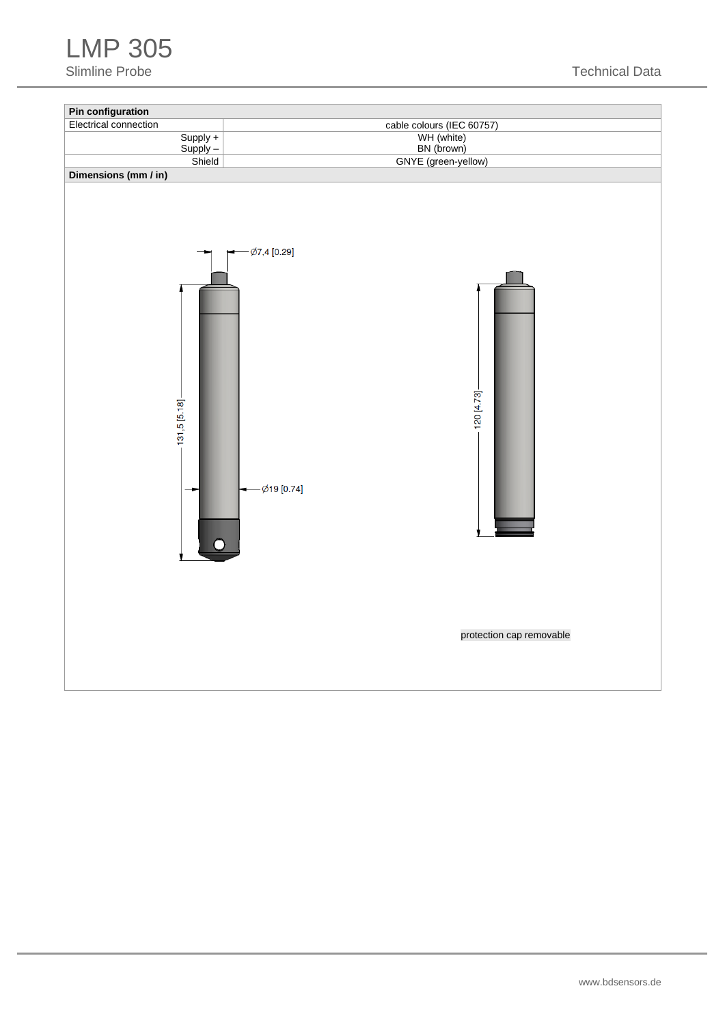LMP 305

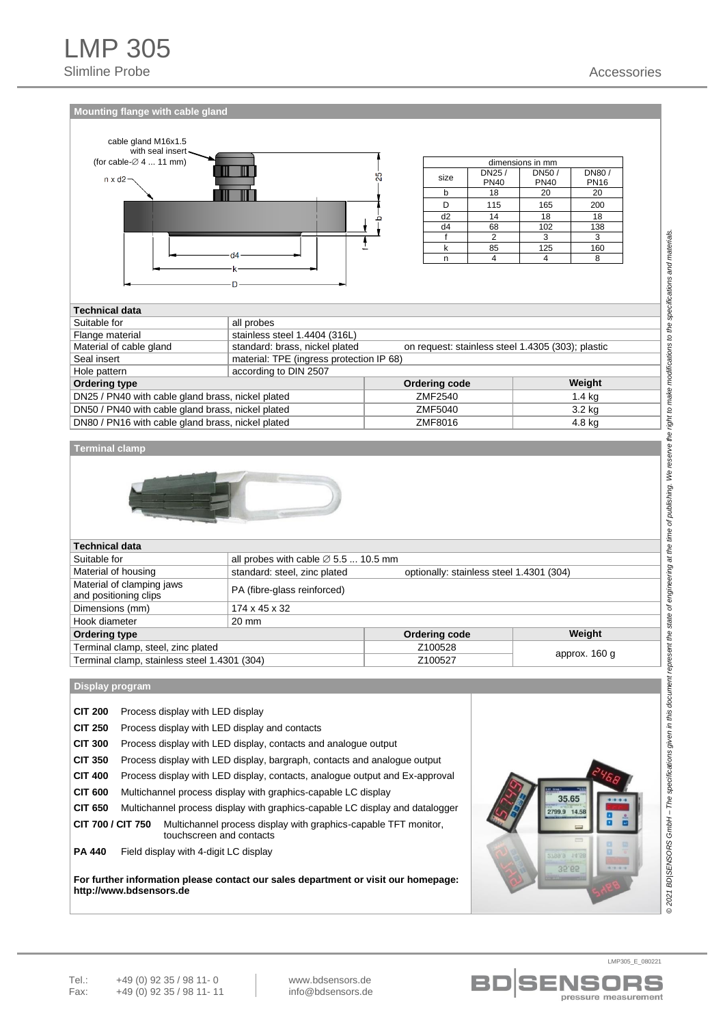#### **Mounting flange with cable gland**



| dimensions in mm |             |             |             |  |  |  |  |
|------------------|-------------|-------------|-------------|--|--|--|--|
|                  | DN25/       | DN50/       | DN80/       |  |  |  |  |
| size             | <b>PN40</b> | <b>PN40</b> | <b>PN16</b> |  |  |  |  |
|                  | 18          | 20          | 20          |  |  |  |  |
|                  | 115         | 165         | 200         |  |  |  |  |
| d2               | 14          | 18          | 18          |  |  |  |  |
| d4               | 68          | 102         | 138         |  |  |  |  |
|                  | 2           | 3           | 3           |  |  |  |  |
|                  | 85          | 125         | 160         |  |  |  |  |
|                  |             |             |             |  |  |  |  |

| <b>Technical data</b>                                   |                                                                                     |               |          |  |  |  |  |
|---------------------------------------------------------|-------------------------------------------------------------------------------------|---------------|----------|--|--|--|--|
| Suitable for                                            | all probes                                                                          |               |          |  |  |  |  |
| Flange material                                         | stainless steel 1.4404 (316L)                                                       |               |          |  |  |  |  |
| Material of cable gland                                 | standard: brass, nickel plated<br>on request: stainless steel 1.4305 (303); plastic |               |          |  |  |  |  |
| material: TPE (ingress protection IP 68)<br>Seal insert |                                                                                     |               |          |  |  |  |  |
| Hole pattern                                            | according to DIN 2507                                                               |               |          |  |  |  |  |
| <b>Ordering type</b>                                    |                                                                                     | Ordering code | Weight   |  |  |  |  |
| DN25 / PN40 with cable gland brass, nickel plated       |                                                                                     | ZMF2540       | $1.4$ kg |  |  |  |  |
| DN50 / PN40 with cable gland brass, nickel plated       |                                                                                     | ZMF5040       | $3.2$ kg |  |  |  |  |
| DN80 / PN16 with cable gland brass, nickel plated       |                                                                                     | ZMF8016       | 4.8 kg   |  |  |  |  |

#### **Terminal clamp**



| <b>Technical data</b>                           |                                              |                                                                                                         |  |  |  |  |  |
|-------------------------------------------------|----------------------------------------------|---------------------------------------------------------------------------------------------------------|--|--|--|--|--|
|                                                 |                                              |                                                                                                         |  |  |  |  |  |
| standard: steel, zinc plated                    |                                              |                                                                                                         |  |  |  |  |  |
| PA (fibre-glass reinforced)                     |                                              |                                                                                                         |  |  |  |  |  |
| 174 x 45 x 32                                   |                                              |                                                                                                         |  |  |  |  |  |
| 20 mm                                           |                                              |                                                                                                         |  |  |  |  |  |
| Weight<br><b>Ordering type</b><br>Ordering code |                                              |                                                                                                         |  |  |  |  |  |
| Terminal clamp, steel, zinc plated              |                                              |                                                                                                         |  |  |  |  |  |
|                                                 | Z100527                                      | approx. 160 g                                                                                           |  |  |  |  |  |
|                                                 | Terminal clamp, stainless steel 1.4301 (304) | all probes with cable $\varnothing$ 5.5  10.5 mm<br>optionally: stainless steel 1.4301 (304)<br>Z100528 |  |  |  |  |  |

**Display program**

| <b>CIT 200</b>    | Process display with LED display                                                            |
|-------------------|---------------------------------------------------------------------------------------------|
| <b>CIT 250</b>    | Process display with LED display and contacts                                               |
| <b>CIT 300</b>    | Process display with LED display, contacts and analogue output                              |
| <b>CIT 350</b>    | Process display with LED display, bargraph, contacts and analogue output                    |
| <b>CIT 400</b>    | Process display with LED display, contacts, analogue output and Ex-approval                 |
| <b>CIT 600</b>    | Multichannel process display with graphics-capable LC display                               |
| <b>CIT 650</b>    | Multichannel process display with graphics-capable LC display and datalogger                |
| CIT 700 / CIT 750 | Multichannel process display with graphics-capable TFT monitor,<br>touchscreen and contacts |
| <b>PA 440</b>     | Field display with 4-digit LC display                                                       |

**For further information please contact our sales department or visit our homepage: http://www.bdsensors.de**